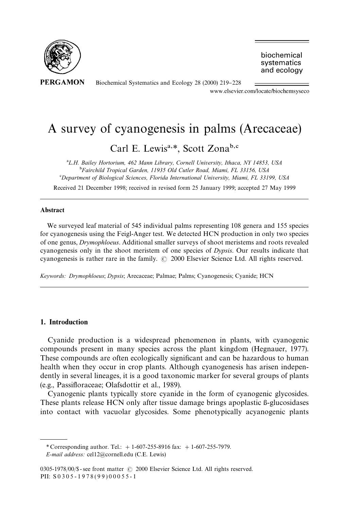

**PERGAMON** 

Biochemical Systematics and Ecology 28 (2000) 219-228 www.elsevier.com/locate/biochemsyseco

biochemical systematics and ecology

# A survey of cyanogenesis in palms (Arecaceae)

Carl E. Lewis<sup>a,\*</sup>, Scott Zona<sup>b,c</sup>

!*L.H. Bailey Hortorium, 462 Mann Library, Cornell University, Ithaca, NY 14853, USA* "*Fairchild Tropical Garden, 11935 Old Cutler Road, Miami, FL 33156, USA* #*Department of Biological Sciences, Florida International University, Miami, FL 33199, USA*

Received 21 December 1998; received in revised form 25 January 1999; accepted 27 May 1999

#### Abstract

We surveyed leaf material of 545 individual palms representing 108 genera and 155 species for cyanogenesis using the Feigl-Anger test. We detected HCN production in only two species of one genus, *Drymophloeus*. Additional smaller surveys of shoot meristems and roots revealed cyanogenesis only in the shoot meristem of one species of *Dypsis*. Our results indicate that cyanogenesis is rather rare in the family.  $\odot$  2000 Elsevier Science Ltd. All rights reserved.

*Keywords: Drymophloeus*; *Dypsis*; Arecaceae; Palmae; Palms; Cyanogenesis; Cyanide; HCN

## 1. Introduction

Cyanide production is a widespread phenomenon in plants, with cyanogenic compounds present in many species across the plant kingdom (Hegnauer, 1977). These compounds are often ecologically significant and can be hazardous to human health when they occur in crop plants. Although cyanogenesis has arisen independently in several lineages, it is a good taxonomic marker for several groups of plants (e.g., Passi#oraceae; Olafsdottir et al., 1989).

Cyanogenic plants typically store cyanide in the form of cyanogenic glycosides. These plants release HCN only after tissue damage brings apoplastic  $\beta$ -glucosidases into contact with vacuolar glycosides. Some phenotypically acyanogenic plants

*<sup>\*</sup>* Corresponding author. Tel.: #1-607-255-8916 fax: #1-607-255-7979.

*E-mail address:* cel12@cornell.edu (C.E. Lewis)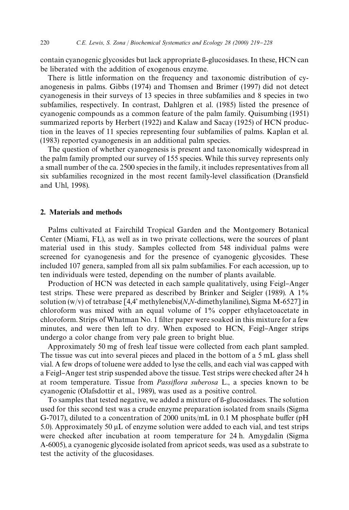contain cyanogenic glycosides but lack appropriate {-glucosidases. In these, HCN can be liberated with the addition of exogenous enzyme.

There is little information on the frequency and taxonomic distribution of cyanogenesis in palms. Gibbs (1974) and Thomsen and Brimer (1997) did not detect cyanogenesis in their surveys of 13 species in three subfamilies and 8 species in two subfamilies, respectively. In contrast, Dahlgren et al. (1985) listed the presence of cyanogenic compounds as a common feature of the palm family. Quisumbing (1951) summarized reports by Herbert (1922) and Kalaw and Sacay (1925) of HCN production in the leaves of 11 species representing four subfamilies of palms. Kaplan et al. (1983) reported cyanogenesis in an additional palm species.

The question of whether cyanogenesis is present and taxonomically widespread in the palm family prompted our survey of 155 species. While this survey represents only a small number of the ca. 2500 species in the family, it includes representatives from all six subfamilies recognized in the most recent family-level classification (Dransfield and Uhl, 1998).

#### 2. Materials and methods

Palms cultivated at Fairchild Tropical Garden and the Montgomery Botanical Center (Miami, FL), as well as in two private collections, were the sources of plant material used in this study. Samples collected from 548 individual palms were screened for cyanogenesis and for the presence of cyanogenic glycosides. These included 107 genera, sampled from all six palm subfamilies. For each accession, up to ten individuals were tested, depending on the number of plants available.

Production of HCN was detected in each sample qualitatively, using Feigl-Anger test strips. These were prepared as described by Brinker and Seigler (1989). A 1% solution (w/v) of tetrabase [4,4' methylenebis(*N*,*N*-dimethylaniline), Sigma M-6527] in chloroform was mixed with an equal volume of 1% copper ethylacetoacetate in chloroform. Strips of Whatman No. 1 filter paper were soaked in this mixture for a few minutes, and were then left to dry. When exposed to HCN, Feigl-Anger strips undergo a color change from very pale green to bright blue.

Approximately 50 mg of fresh leaf tissue were collected from each plant sampled. The tissue was cut into several pieces and placed in the bottom of a 5 mL glass shell vial. A few drops of toluene were added to lyse the cells, and each vial was capped with a Feigl-Anger test strip suspended above the tissue. Test strips were checked after 24 h at room temperature. Tissue from *Passi*y*ora suberosa* L., a species known to be cyanogenic (Olafsdottir et al., 1989), was used as a positive control.

To samples that tested negative, we added a mixture of {-glucosidases. The solution used for this second test was a crude enzyme preparation isolated from snails (Sigma G-7017), diluted to a concentration of 2000 units/mL in 0.1 M phosphate buffer (pH 5.0). Approximately 50  $\mu$ L of enzyme solution were added to each vial, and test strips were checked after incubation at room temperature for 24 h. Amygdalin (Sigma A-6005), a cyanogenic glycoside isolated from apricot seeds, was used as a substrate to test the activity of the glucosidases.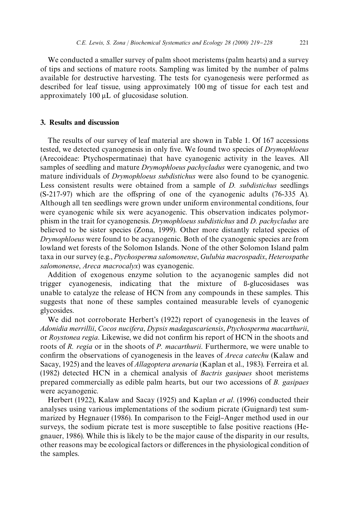We conducted a smaller survey of palm shoot meristems (palm hearts) and a survey of tips and sections of mature roots. Sampling was limited by the number of palms available for destructive harvesting. The tests for cyanogenesis were performed as described for leaf tissue, using approximately 100 mg of tissue for each test and approximately  $100 \mu L$  of glucosidase solution.

#### 3. Results and discussion

The results of our survey of leaf material are shown in Table 1. Of 167 accessions tested, we detected cyanogenesis in only five. We found two species of *Drymophloeus* (Arecoideae: Ptychospermatinae) that have cyanogenic activity in the leaves. All samples of seedling and mature *Drymophloeus pachycladus* were cyanogenic, and two mature individuals of *Drymophloeus subdistichus* were also found to be cyanogenic. Less consistent results were obtained from a sample of *D. subdistichus* seedlings  $(S-217-97)$  which are the offspring of one of the cyanogenic adults (76-335 A). Although all ten seedlings were grown under uniform environmental conditions, four were cyanogenic while six were acyanogenic. This observation indicates polymorphism in the trait for cyanogenesis. *Drymophloeus subdistichus* and *D. pachycladus* are believed to be sister species (Zona, 1999). Other more distantly related species of *Drymophloeus* were found to be acyanogenic. Both of the cyanogenic species are from lowland wet forests of the Solomon Islands. None of the other Solomon Island palm taxa in our survey (e.g., *Ptychosperma salomonense*, *Gulubia macrospadix*, *Heterospathe salomonense*, *Areca macrocalyx*) was cyanogenic.

Addition of exogenous enzyme solution to the acyanogenic samples did not trigger cyanogenesis, indicating that the mixture of *B*-glucosidases was unable to catalyze the release of HCN from any compounds in these samples. This suggests that none of these samples contained measurable levels of cyanogenic glycosides.

We did not corroborate Herbert's (1922) report of cyanogenesis in the leaves of *Adonidia merrillii*, *Cocos nucifera*, *Dypsis madagascariensis*, *Ptychosperma macarthurii*, or *Roystonea regia*. Likewise, we did not confirm his report of HCN in the shoots and roots of *R. regia* or in the shoots of *P. macarthurii*. Furthermore, we were unable to confirm the observations of cyanogenesis in the leaves of *Areca catechu* (Kalaw and Sacay, 1925) and the leaves of *Allagoptera arenaria* (Kaplan et al., 1983). Ferreira et al. (1982) detected HCN in a chemical analysis of *Bactris gasipaes* shoot meristems prepared commercially as edible palm hearts, but our two accessions of *B. gasipaes* were acyanogenic.

Herbert (1922), Kalaw and Sacay (1925) and Kaplan *et al*. (1996) conducted their analyses using various implementations of the sodium picrate (Guignard) test summarized by Hegnauer (1986). In comparison to the Feigl-Anger method used in our surveys, the sodium picrate test is more susceptible to false positive reactions (Hegnauer, 1986). While this is likely to be the major cause of the disparity in our results, other reasons may be ecological factors or differences in the physiological condition of the samples.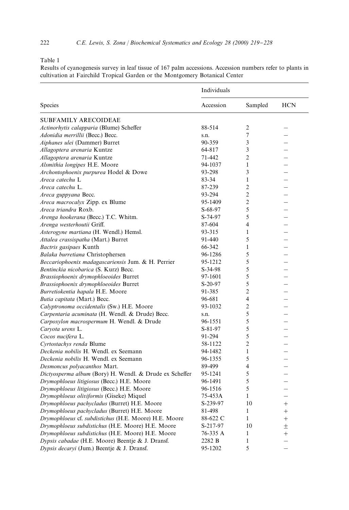#### Table 1

Results of cyanogenesis survey in leaf tissue of 167 palm accessions. Accession numbers refer to plants in cultivation at Fairchild Tropical Garden or the Montgomery Botanical Center

|                                                         | Individuals |                          |                          |
|---------------------------------------------------------|-------------|--------------------------|--------------------------|
| Species                                                 | Accession   | Sampled                  | <b>HCN</b>               |
| SUBFAMILY ARECOIDEAE                                    |             |                          |                          |
| Actinorhytis calapparia (Blume) Scheffer                | 88-514      | 2                        |                          |
| Adonidia merrillii (Becc.) Becc.                        | s.n.        | 7                        |                          |
| Aiphanes ulei (Dammer) Burret                           | 90-359      | $\overline{3}$           |                          |
| Allagoptera arenaria Kuntze                             | 64-817      | 3                        |                          |
| Allagoptera arenaria Kuntze                             | 71-442      | $\overline{c}$           |                          |
| Alsmithia longipes H.E. Moore                           | 94-1037     | $\mathbf{1}$             |                          |
| Archontophoenix purpurea Hodel & Dowe                   | 93-298      | 3                        |                          |
| Areca catechu L                                         | 83-34       | $\mathbf{1}$             |                          |
| Areca catechu L.                                        | 87-239      | $\overline{2}$           |                          |
| Areca guppyana Becc.                                    | 93-294      | $\overline{2}$           |                          |
| Areca macrocalyx Zipp. ex Blume                         | 95-1409     | $\overline{2}$           |                          |
| Areca triandra Roxb.                                    | $S-68-97$   | 5                        |                          |
| Arenga hookerana (Becc.) T.C. Whitm.                    | S-74-97     | 5                        |                          |
| Arenga westerhoutii Griff.                              | 87-604      | $\overline{\mathbf{4}}$  |                          |
| Asterogyne martiana (H. Wendl.) Hemsl.                  | 93-315      | $\mathbf{1}$             |                          |
| Attalea crassispatha (Mart.) Burret                     | 91-440      | 5                        |                          |
| Bactris gasipaes Kunth                                  | 66-342      | $\mathbf{1}$             |                          |
| Balaka burretiana Christophersen                        | 96-1286     | 5                        |                          |
| Beccariophoenix madagascariensis Jum. & H. Perrier      | 95-1212     | 5                        |                          |
| Bentinckia nicobarica (S. Kurz) Becc.                   | $S-34-98$   | 5                        |                          |
| Brassiophoenix drymophloeoides Burret                   | 97-1601     | 5                        |                          |
| Brassiophoenix drymophloeoides Burret                   | $S-20-97$   | 5                        |                          |
| Burretiokentia hapala H.E. Moore                        | 91-385      | $\overline{c}$           |                          |
| Butia capitata (Mart.) Becc.                            | 96-681      | $\overline{\mathcal{L}}$ |                          |
| Calyptronoma occidentalis (Sw.) H.E. Moore              | 93-1032     | $\overline{2}$           |                          |
| Carpentaria acuminata (H. Wendl. & Drude) Becc.         | s.n.        | 5                        |                          |
| Carpoxylon macrospermum H. Wendl. & Drude               | 96-1551     | 5                        |                          |
| Caryota urens L.                                        | $S-81-97$   | 5                        | $\overline{\phantom{0}}$ |
| Cocos nucifera L.                                       | 91-294      | 5                        |                          |
| Cyrtostachys renda Blume                                | 58-1122     | $\overline{c}$           |                          |
| Deckenia nobilis H. Wendl. ex Seemann                   | 94-1482     | $\mathbf{1}$             |                          |
| Deckenia nobilis H. Wendl. ex Seemann                   | 96-1355     | 5                        | $\overline{\phantom{0}}$ |
| Desmoncus polyacanthos Mart.                            | 89-499      | $\overline{4}$           |                          |
| Dictyosperma album (Bory) H. Wendl. & Drude ex Scheffer | 95-1241     | 5                        |                          |
| Drymophloeus litigiosus (Becc.) H.E. Moore              | 96-1491     | 5                        |                          |
| Drymophloeus litigiosus (Becc.) H.E. Moore              | 96-1516     | 5                        |                          |
| Drymophloeus oliviformis (Giseke) Miquel                | 75-453A     | $\mathbf{1}$             |                          |
| Drymophloeus pachycladus (Burret) H.E. Moore            | S-239-97    | 10                       | $^{+}$                   |
| Drymophloeus pachycladus (Burret) H.E. Moore            | 81-498      | $\mathbf{1}$             | $^{+}$                   |
| Drymophloeus cf. subdistichus (H.E. Moore) H.E. Moore   | 88-622 C    | $\mathbf{1}$             | $^{+}$                   |
| Drymophloeus subdistichus (H.E. Moore) H.E. Moore       | S-217-97    | 10                       | $\pm$                    |
| Drymophloeus subdistichus (H.E. Moore) H.E. Moore       | 76-335 A    | $\mathbf{1}$             | $^{+}$                   |
| Dypsis cabadae (H.E. Moore) Beentje & J. Dransf.        | 2282 B      | $\mathbf{1}$             |                          |
| Dypsis decaryi (Jum.) Beentje & J. Dransf.              | 95-1202     | 5                        |                          |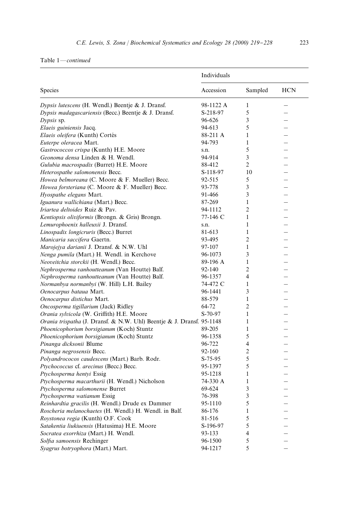## Table 1\**continued*

|                                                                       | Individuals |                          |                          |
|-----------------------------------------------------------------------|-------------|--------------------------|--------------------------|
| Species                                                               | Accession   | Sampled                  | <b>HCN</b>               |
| Dypsis lutescens (H. Wendl.) Beentje & J. Dransf.                     | 98-1122 A   | 1                        |                          |
| Dypsis madagascariensis (Becc.) Beentje & J. Dransf.                  | S-218-97    | 5                        |                          |
| Dypsis sp.                                                            | 96-626      | 3                        |                          |
| Elaeis guiniensis Jacq.                                               | 94-613      | 5                        |                          |
| Elaeis oleifera (Kunth) Cortés                                        | 88-211 A    | $\mathbf{1}$             |                          |
| Euterpe oleracea Mart.                                                | 94-793      | $\mathbf{1}$             |                          |
| Gastrococcos crispa (Kunth) H.E. Moore                                | s.n.        | 5                        |                          |
| Geonoma densa Linden & H. Wendl.                                      | 94-914      | 3                        |                          |
| Gulubia macrospadix (Burret) H.E. Moore                               | 88-412      | $\overline{2}$           |                          |
| Heterospathe salomonensis Becc.                                       | S-118-97    | 10                       |                          |
| Howea belmoreana (C. Moore & F. Mueller) Becc.                        | 92-515      | 5                        |                          |
| Howea forsteriana (C. Moore & F. Mueller) Becc.                       | 93-778      | 3                        |                          |
| Hyospathe elegans Mart.                                               | 91-466      | 3                        |                          |
| Iguanura wallichiana (Mart.) Becc.                                    | 87-269      | $\mathbf{1}$             | $\overline{\phantom{0}}$ |
| Iriartea deltoides Ruiz & Pav.                                        | 94-1112     | $\overline{c}$           |                          |
| Kentiopsis oliviformis (Brongn. & Gris) Brongn.                       | 77-146 C    | $\mathbf{1}$             |                          |
| Lemurophoenix halleuxii J. Dransf.                                    | s.n.        | $\mathbf{1}$             |                          |
| Linospadix longicruris (Becc.) Burret                                 | 81-613      | $\mathbf{1}$             |                          |
| Manicaria saccifera Gaertn.                                           | 93-495      | $\overline{2}$           |                          |
| Marojejya darianii J. Dransf. & N.W. Uhl                              | 97-107      | 1                        |                          |
| Nenga pumila (Mart.) H. Wendl. in Kerchove                            | 96-1073     | 3                        |                          |
| Neoveitchia storckii (H. Wendl.) Becc.                                | 89-196 A    | $\mathbf{1}$             |                          |
| Nephrosperma vanhoutteanum (Van Houtte) Balf.                         | 92-140      | $\overline{c}$           |                          |
| Nephrosperma vanhoutteanum (Van Houtte) Balf.                         | 96-1357     | 4                        |                          |
| Normanbya normanbyi (W. Hill) L.H. Bailey                             | 74-472 C    | $\mathbf{1}$             |                          |
| Oenocarpus bataua Mart.                                               | 96-1441     | 3                        |                          |
| Oenocarpus distichus Mart.                                            | 88-579      | $\mathbf{1}$             |                          |
| Oncosperma tigillarium (Jack) Ridley                                  | 64-72       | $\overline{2}$           |                          |
| Orania sylvicola (W. Griffith) H.E. Moore                             | $S-70-97$   | $\mathbf{1}$             |                          |
| Orania trispatha (J. Dransf. & N.W. Uhl) Beentje & J. Dransf. 95-1148 |             | $\mathbf{1}$             |                          |
| Phoenicophorium borsigianum (Koch) Stuntz                             | 89-205      | $\mathbf{1}$             |                          |
| Phoenicophorium borsigianum (Koch) Stuntz                             | 96-1358     | 5                        |                          |
| Pinanga dicksonii Blume                                               | 96-722      | $\overline{\mathcal{L}}$ |                          |
| Pinanga negrosensis Becc.                                             | 92-160      | $\overline{c}$           |                          |
| Polyandrococos caudescens (Mart.) Barb. Rodr.                         | $S-75-95$   | 5                        |                          |
| Ptychococcus cf. arecinus (Becc.) Becc.                               | 95-1397     | 5                        |                          |
| Ptychosperma hentyi Essig                                             | 95-1218     | 1                        |                          |
| Ptychosperma macarthurii (H. Wendl.) Nicholson                        | 74-330 A    | $\mathbf{1}$             |                          |
| Ptychosperma salomonense Burret                                       | 69-624      | 3                        |                          |
| Ptychosperma watianum Essig                                           | 76-398      | 3                        |                          |
| Reinhardtia gracilis (H. Wendl.) Drude ex Dammer                      | 95-1110     | 5                        |                          |
| Roscheria melanochaetes (H. Wendl.) H. Wendl. in Balf.                | 86-176      | $\mathbf{1}$             |                          |
| Roystonea regia (Kunth) O.F. Cook                                     | 81-516      | 5                        |                          |
| Satakentia liukiuensis (Hatusima) H.E. Moore                          | S-196-97    | 5                        |                          |
| Socratea exorrhiza (Mart.) H. Wendl.                                  | 93-133      | $\overline{4}$           |                          |
| Solfia samoensis Rechinger                                            | 96-1500     | 5                        |                          |
| Syagrus botryophora (Mart.) Mart.                                     | 94-1217     | 5                        |                          |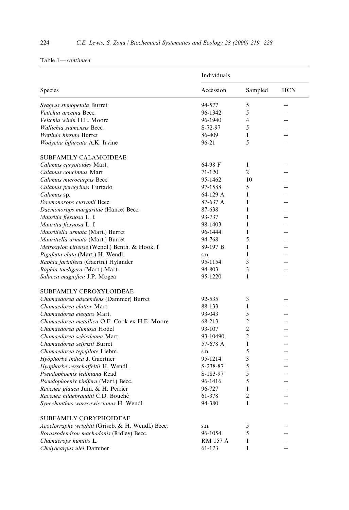# Table 1\**continued*

|                                                   | Individuals     |                          |            |
|---------------------------------------------------|-----------------|--------------------------|------------|
| Species                                           | Accession       | Sampled                  | <b>HCN</b> |
| Syagrus stenopetala Burret                        | 94-577          | 5                        |            |
| Veitchia arecina Becc.                            | 96-1342         | 5                        |            |
| Veitchia winin H.E. Moore                         | 96-1940         | $\overline{\mathcal{L}}$ |            |
| Wallichia siamensis Becc.                         | S-72-97         | 5                        |            |
| Wettinia hirsuta Burret                           | 86-409          | 1                        |            |
| Wodvetia bifurcata A.K. Irvine                    | 96-21           | 5                        |            |
| <b>SUBFAMILY CALAMOIDEAE</b>                      |                 |                          |            |
| Calamus caryotoides Mart.                         | 64-98 F         | 1                        |            |
| Calamus concinnus Mart                            | 71-120          | $\overline{2}$           |            |
| Calamus microcarpus Becc.                         | 95-1462         | 10                       | L.         |
| Calamus peregrinus Furtado                        | 97-1588         | 5                        |            |
| Calamus sp.                                       | 64-129 A        | 1                        |            |
| Daemonorops curranii Becc.                        | 87-637 A        | $\mathbf{1}$             |            |
| Daemonorops margaritae (Hance) Becc.              | 87-638          | $\mathbf{1}$             |            |
| Mauritia flexuosa L. f.                           | 93-737          | $\mathbf{1}$             |            |
| Mauritia flexuosa L. f.                           | 98-1403         | $\mathbf{1}$             |            |
| Mauritiella armata (Mart.) Burret                 | 96-1444         | $\mathbf{1}$             |            |
| Mauritiella armata (Mart.) Burret                 | 94-768          | 5                        |            |
| Metroxylon vitiense (Wendl.) Benth. & Hook. f.    | 89-197 B        | $\mathbf{1}$             |            |
| Pigafetta elata (Mart.) H. Wendl.                 | s.n.            | 1                        |            |
| Raphia farinifera (Gaertn.) Hylander              | 95-1154         | 3                        |            |
| Raphia taedigera (Mart.) Mart.                    | 94-803          | 3                        |            |
| Salacca magnifica J.P. Mogea                      | 95-1220         | $\mathbf{1}$             |            |
| <b>SUBFAMILY CEROXYLOIDEAE</b>                    |                 |                          |            |
| Chamaedorea adscendens (Dammer) Burret            | 92-535          | 3                        |            |
| Chamaedorea elatior Mart.                         | 88-133          | $\mathbf{1}$             |            |
| Chamaedorea elegans Mart.                         | 93-043          | 5                        |            |
| Chamaedorea metallica O.F. Cook ex H.E. Moore     | 68-213          | $\overline{c}$           |            |
| Chamaedorea plumosa Hodel                         | 93-107          | $\overline{c}$           |            |
| Chamaedorea schiedeana Mart.                      | 93-10490        | $\overline{c}$           |            |
| Chamaedorea seifrizii Burret                      | 57-678 A        | $\mathbf{1}$             |            |
| Chamaedorea tepejilote Liebm.                     | s.n.            | 5                        |            |
| Hyophorbe indica J. Gaertner                      | 95-1214         | 3                        |            |
| Hyophorbe verschaffeltii H. Wendl.                | S-238-87        | 5                        |            |
| Pseudophoenix lediniana Read                      | S-183-97        | 5                        |            |
| Pseudophoenix vinifera (Mart.) Becc.              | 96-1416         | 5                        |            |
| Ravenea glauca Jum. & H. Perrier                  | 96-727          | $\mathbf{1}$             |            |
| Ravenea hildebrandtii C.D. Bouché                 | 61-378          | $\overline{2}$           |            |
| Synechanthus warscewiczianus H. Wendl.            | 94-380          | $\mathbf{1}$             |            |
| <b>SUBFAMILY CORYPHOIDEAE</b>                     |                 |                          |            |
| Acoelorraphe wrightii (Griseb. & H. Wendl.) Becc. | s.n.            | 5                        |            |
| Borassodendron machadonis (Ridley) Becc.          | 96-1054         | 5                        |            |
| Chamaerops humilis L.                             | <b>RM 157 A</b> | 1                        |            |
| Chelyocarpus ulei Dammer                          | 61-173          | 1                        |            |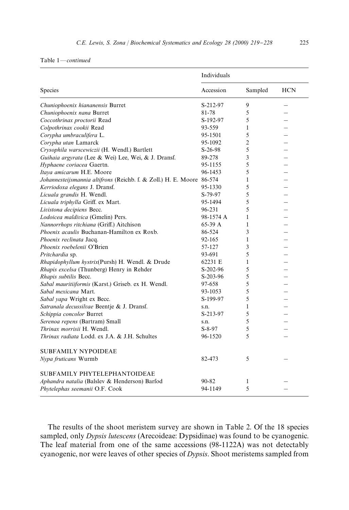#### Table 1\**continued*

|                                                                       | Individuals |                |            |
|-----------------------------------------------------------------------|-------------|----------------|------------|
| Species                                                               | Accession   | Sampled        | <b>HCN</b> |
| Chuniophoenix hiananensis Burret                                      | S-212-97    | 9              |            |
| Chuniophoenix nana Burret                                             | 81-78       | 5              |            |
| Coccothrinax proctorii Read                                           | S-192-97    | 5              |            |
| Colpothrinax cookii Read                                              | 93-559      | 1              |            |
| Corypha umbraculifera L.                                              | 95-1501     | 5              |            |
| Corypha utan Lamarck                                                  | 95-1092     | $\overline{2}$ |            |
| Crysophila warscewiczii (H. Wendl.) Bartlett                          | $S-26-98$   | 5              |            |
| Guihaia argyrata (Lee & Wei) Lee, Wei, & J. Dransf.                   | 89-278      | 3              |            |
| Hyphaene coriacea Gaertn.                                             | 95-1155     | 5              |            |
| Itaya amicarum H.E. Moore                                             | 96-1453     | 5              |            |
| Johannesteijsmannia altifrons (Reichb. f. & Zoll.) H. E. Moore 86-574 |             | $\mathbf{1}$   |            |
| Kerriodoxa elegans J. Dransf.                                         | 95-1330     | 5              |            |
| Licuala grandis H. Wendl.                                             | S-79-97     | 5              |            |
| Licuala triphylla Griff. ex Mart.                                     | 95-1494     | 5              |            |
| Livistona decipiens Becc.                                             | 96-231      | 5              |            |
| Lodoicea maldivica (Gmelin) Pers.                                     | 98-1574 A   | $\mathbf{1}$   |            |
| Nannorrhops ritchiana (Griff.) Aitchison                              | 65-39 A     | $\mathbf{1}$   |            |
| Phoenix acaulis Buchanan-Hamilton ex Roxb.                            | 86-524      | 3              |            |
| Phoenix reclinata Jacq.                                               | 92-165      | 1              |            |
| Phoenix roebelenii O'Brien                                            | 57-127      | 3              |            |
| Pritchardia sp.                                                       | 93-691      | 5              |            |
| Rhapidophyllum hystrix(Pursh) H. Wendl. & Drude                       | 62231 E     | $\mathbf{1}$   |            |
| Rhapis excelsa (Thunberg) Henry in Rehder                             | S-202-96    | 5              |            |
| Rhapis subtilis Becc.                                                 | S-203-96    | 5              |            |
| Sabal mauritiiformis (Karst.) Griseb. ex H. Wendl.                    | 97-658      | 5              |            |
| Sabal mexicana Mart.                                                  | 93-1053     | 5              |            |
| Sabal yapa Wright ex Becc.                                            | S-199-97    | 5              |            |
| Satranala decussilvae Beentje & J. Dransf.                            | s.n.        | $\mathbf{1}$   |            |
| Schippia concolor Burret                                              | S-213-97    | 5              |            |
| Serenoa repens (Bartram) Small                                        | s.n.        | 5              |            |
| Thrinax morrisii H. Wendl.                                            | $S-8-97$    | 5              |            |
| Thrinax radiata Lodd. ex J.A. & J.H. Schultes                         | 96-1520     | $\varsigma$    |            |
| <b>SUBFAMILY NYPOIDEAE</b>                                            |             |                |            |
| Nypa fruticans Wurmb                                                  | 82-473      | 5              |            |
| SUBFAMILY PHYTELEPHANTOIDEAE                                          |             |                |            |
| Aphandra natalia (Balslev & Henderson) Barfod                         | 90-82       | 1              |            |
| Phytelephas seemanii O.F. Cook                                        | 94-1149     | 5              |            |

The results of the shoot meristem survey are shown in Table 2. Of the 18 species sampled, only *Dypsis lutescens* (Arecoideae: Dypsidinae) was found to be cyanogenic. The leaf material from one of the same accessions (98-1122A) was not detectably cyanogenic, nor were leaves of other species of *Dypsis*. Shoot meristems sampled from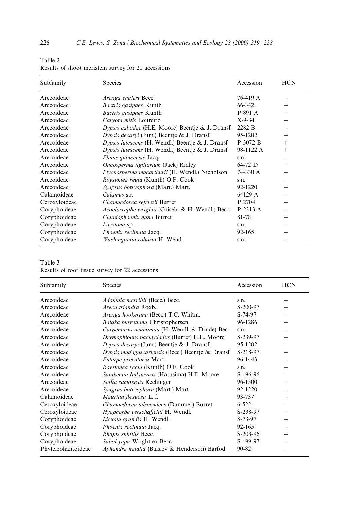| Table 2                                            |  |
|----------------------------------------------------|--|
| Results of shoot meristem survey for 20 accessions |  |

| Subfamily     | Species                                           | Accession | <b>HCN</b> |
|---------------|---------------------------------------------------|-----------|------------|
| Arecoideae    | Arenga engleri Becc.                              | 76-419 A  |            |
| Arecoideae    | Bactris gasipaes Kunth                            | 66-342    |            |
| Arecoideae    | Bactris gasipaes Kunth                            | P 891 A   |            |
| Arecoideae    | Caryota mitis Loureiro                            | $X-9-34$  |            |
| Arecoideae    | Dypsis cabadae (H.E. Moore) Beentje & J. Dransf.  | 2282 B    |            |
| Arecoideae    | Dypsis decaryi (Jum.) Beentje & J. Dransf.        | 95-1202   |            |
| Arecoideae    | Dypsis lutescens (H. Wendl.) Beentje & J. Dransf. | P 3072 B  | $+$        |
| Arecoideae    | Dypsis lutescens (H. Wendl.) Beentje & J. Dransf. | 98-1122 A | $+$        |
| Arecoideae    | Elaeis guineensis Jacq.                           | s.n.      |            |
| Arecoideae    | Oncosperma tigillarium (Jack) Ridley              | 64-72 D   |            |
| Arecoideae    | Ptychosperma macarthurii (H. Wendl.) Nicholson    | 74-330 A  |            |
| Arecoideae    | Roystonea regia (Kunth) O.F. Cook                 | s.n.      |            |
| Arecoideae    | Syagrus botryophora (Mart.) Mart.                 | 92-1220   |            |
| Calamoideae   | Calamus sp.                                       | 64129 A   |            |
| Ceroxyloideae | Chamaedorea sefriezii Burret                      | P 2704    |            |
| Coryphoideae  | Acoelorraphe wrightii (Griseb. & H. Wendl.) Becc. | P 2313 A  |            |
| Coryphoideae  | Chuniophoenix nana Burret                         | 81-78     |            |
| Coryphoideae  | Livistona sp.                                     | s.n.      |            |
| Coryphoideae  | Phoenix reclinata Jacq.                           | 92-165    |            |
| Coryphoideae  | Washingtonia robusta H. Wend.                     | s.n.      |            |

## Table 3

Results of root tissue survey for 22 accessions

| Subfamily          | Species                                           | Accession  | <b>HCN</b> |
|--------------------|---------------------------------------------------|------------|------------|
| Arecoideae         | Adonidia merrillii (Becc.) Becc.                  | s.n.       |            |
| Arecoideae         | <i>Areca triandra</i> Roxh                        | S-200-97   |            |
| Arecoideae         | Arenga hookerana (Becc.) T.C. Whitm.              | S-74-97    |            |
| Arecoideae         | Balaka burretiana Christophersen                  | 96-1286    |            |
| Arecoideae         | Carpentaria acuminata (H. Wendl. & Drude) Becc.   | s.n.       |            |
| Arecoideae         | Drymophloeus pachycladus (Burret) H.E. Moore      | S-239-97   |            |
| Arecoideae         | Dypsis decaryi (Jum.) Beentje & J. Dransf.        | 95-1202    |            |
| Arecoideae         | Dypsis madagascariensis (Becc.) Beentje & Dransf. | S-218-97   |            |
| Arecoideae         | Euterpe precatoria Mart.                          | 96-1443    |            |
| Arecoideae         | Roystonea regia (Kunth) O.F. Cook                 | s.n.       |            |
| Arecoideae         | Satakentia liukiuensis (Hatusima) H.E. Moore      | S-196-96   |            |
| Arecoideae         | Solfia samoensis Rechinger                        | 96-1500    |            |
| Arecoideae         | Syagrus botryophora (Mart.) Mart.                 | 92-1220    |            |
| Calamoideae        | Mauritia flexuosa L. f.                           | 93-737     |            |
| Ceroxyloideae      | Chamaedorea adscendens (Dammer) Burret            | $6 - 522$  |            |
| Ceroxyloideae      | Hyophorbe verschaffeltii H. Wendl.                | S-238-97   |            |
| Coryphoideae       | Licuala grandis H. Wendl.                         | S-73-97    |            |
| Coryphoideae       | Phoenix reclinata Jacq.                           | 92-165     |            |
| Coryphoideae       | Rhapis subtilis Becc.                             | $S-203-96$ |            |
| Coryphoideae       | Sabal yapa Wright ex Becc.                        | S-199-97   |            |
| Phytelephantoideae | Aphandra natalia (Balslev & Henderson) Barfod     | 90-82      |            |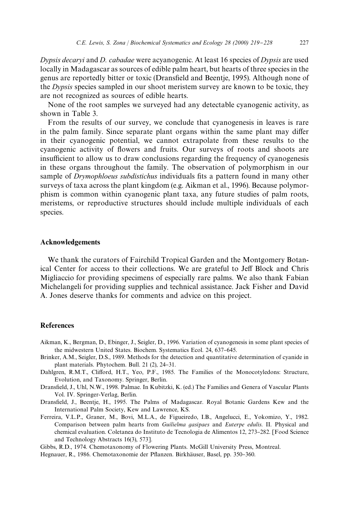*Dypsis decaryi* and *D. cabadae* were acyanogenic. At least 16 species of *Dypsis* are used locally in Madagascar as sources of edible palm heart, but hearts of three species in the genus are reportedly bitter or toxic (Dransfield and Beentje, 1995). Although none of the *Dypsis* species sampled in our shoot meristem survey are known to be toxic, they are not recognized as sources of edible hearts.

None of the root samples we surveyed had any detectable cyanogenic activity, as shown in Table 3.

From the results of our survey, we conclude that cyanogenesis in leaves is rare in the palm family. Since separate plant organs within the same plant may differ in their cyanogenic potential, we cannot extrapolate from these results to the cyanogenic activity of flowers and fruits. Our surveys of roots and shoots are insufficient to allow us to draw conclusions regarding the frequency of cyanogenesis in these organs throughout the family. The observation of polymorphism in our sample of *Drymophloeus subdistichus* individuals fits a pattern found in many other surveys of taxa across the plant kingdom (e.g. Aikman et al., 1996). Because polymorphism is common within cyanogenic plant taxa, any future studies of palm roots, meristems, or reproductive structures should include multiple individuals of each species.

## Acknowledgements

We thank the curators of Fairchild Tropical Garden and the Montgomery Botanical Center for access to their collections. We are grateful to Jeff Block and Chris Migliaccio for providing specimens of especially rare palms. We also thank Fabian Michelangeli for providing supplies and technical assistance. Jack Fisher and David A. Jones deserve thanks for comments and advice on this project.

### References

- Aikman, K., Bergman, D., Ebinger, J., Seigler, D., 1996. Variation of cyanogenesis in some plant species of the midwestern United States. Biochem. Systematics Ecol. 24, 637-645.
- Brinker, A.M., Seigler, D.S., 1989. Methods for the detection and quantitative determination of cyanide in plant materials. Phytochem. Bull. 21 (2), 24-31.
- Dahlgren, R.M.T., Clifford, H.T., Yeo, P.F., 1985. The Families of the Monocotyledons: Structure, Evolution, and Taxonomy. Springer, Berlin.
- Drans"eld, J., Uhl, N.W., 1998. Palmae. In Kubitzki, K. (ed.) The Families and Genera of Vascular Plants Vol. IV. Springer-Verlag, Berlin.
- Drans"eld, J., Beentje, H., 1995. The Palms of Madagascar. Royal Botanic Gardens Kew and the International Palm Society, Kew and Lawrence, KS.
- Ferreira, V.L.P., Graner, M., Bovi, M.L.A., de Figueiredo, I.B., Angelucci, E., Yokomizo, Y., 1982. Comparison between palm hearts from *Guilielma gasipaes* and *Euterpe edulis*. II. Physical and chemical evaluation. Coletanea do Instituto de Tecnologia de Alimentos 12, 273-282. [Food Science and Technology Abstracts 16(3), 573].
- Gibbs, R.D., 1974. Chemotaxonomy of Flowering Plants. McGill University Press, Montreal.
- Hegnauer, R., 1986. Chemotaxonomie der Pflanzen. Birkhäuser, Basel, pp. 350–360.